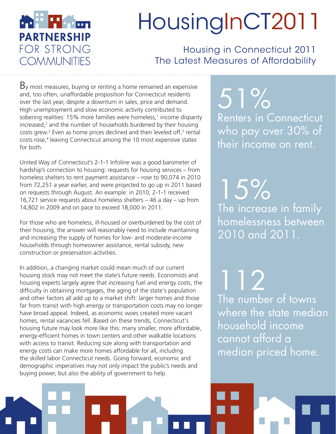

# HousingInCT2011

Housing in Connecticut 2011 The Latest Measures of Affordability

 $B<sub>y</sub>$  most measures, buying or renting a home remained an expensive and, too often, unaffordable proposition for Connecticut residents over the last year, despite a downturn in sales, price and demand. High unemployment and slow economic activity contributed to sobering realities: 15% more families were homeless,<sup>1</sup> income disparity increased, $2$  and the number of households burdened by their housing costs grew.<sup>2</sup> Even as home prices declined and then leveled off, $3$  rental costs rose,<sup>4</sup> leaving Connecticut among the 10 most expensive states for both.

United Way of Connecticut's 2-1-1 Infoline was a good barometer of hardship's connection to housing: requests for housing services – from homeless shelters to rent payment assistance – rose to 90,074 in 2010 from 72,251 a year earlier, and were projected to go up in 2011 based on requests through August. An example: in 2010, 2-1-1 received 16,721 service requests about homeless shelters – 46 a day – up from 14,802 in 2009 and on pace to exceed 18,000 in 2011.

For those who are homeless, ill-housed or overburdened by the cost of their housing, the answer will reasonably need to include maintaining and increasing the supply of homes for low- and moderate-income households through homeowner assistance, rental subsidy, new construction or preservation activities.

In addition, a changing market could mean much of our current housing stock may not meet the state's future needs. Economists and housing experts largely agree that increasing fuel and energy costs, the difficulty in obtaining mortgages, the aging of the state's population and other factors all add up to a market shift: larger homes and those far from transit with high energy or transportation costs may no longer have broad appeal. Indeed, as economic woes created more vacant homes, rental vacancies fell. Based on these trends, Connecticut's housing future may look more like this: many smaller, more affordable, energy-efficient homes in town centers and other walkable locations with access to transit. Reducing size along with transportation and energy costs can make more homes affordable for all, including the skilled labor Connecticut needs. Going forward, economic and demographic imperatives may not only impact the public's needs and buying power, but also the ability of government to help.

51% Renters in Connecticut who pay over 30% of their income on rent.

15% The increase in family homelessness between 2010 and 2011.

112 The number of towns where the state median household income cannot afford a median priced home.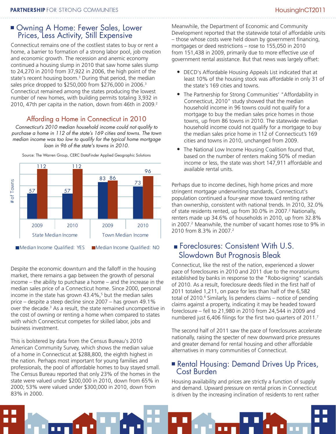## ■ Owning A Home: Fewer Sales, Lower Prices, Less Activity, Still Expensive

Connecticut remains one of the costliest states to buy or rent a home, a barrier to formation of a strong labor pool, job creation and economic growth. The recession and anemic economy continued a housing slump in 2010 that saw home sales slump to 24,270 in 2010 from 37,922 in 2006, the high point of the state's recent housing boom.<sup>3</sup> During that period, the median sales price dropped to \$250,000 from \$276,000 in 2006.<sup>3</sup> Connecticut remained among the states producing the lowest number of new homes, with building permits totaling 3,932 in 2010, 47th per capita in the nation, down from 46th in 2009.<sup>2</sup>

## Affording a Home in Connecticut in 2010

*Connecticut's 2010 median household income could not qualify to purchase a home in 112 of the state's 169 cities and towns. The town median income was too low to qualify for the typical home mortgage loan in 96 of the state's towns in 2010.*



Source: The Warren Group, CERC DataFinder Applied Geographic Solutions

Despite the economic downturn and the falloff in the housing market, there remains a gap between the growth of personal income – the ability to purchase a home – and the increase in the median sales price of a Connecticut home. Since 2000, personal income in the state has grown 43.4%,5 but the median sales price – despite a steep decline since 2007 – has grown 49.1% over the decade.<sup>3</sup> As a result, the state remained uncompetitive in the cost of owning or renting a home when compared to states with which Connecticut competes for skilled labor, jobs and business investment.

This is bolstered by data from the Census Bureau's 2010 American Community Survey, which shows the median value of a home in Connecticut at \$288,800, the eighth highest in the nation. Perhaps most important for young families and professionals, the pool of affordable homes to buy stayed small. The Census Bureau reported that only 23% of the homes in the state were valued under \$200,000 in 2010, down from 65% in 2000; 53% were valued under \$300,000 in 2010, down from 83% in 2000.

Meanwhile, the Department of Economic and Community Development reported that the statewide total of affordable units – those whose costs were held down by government financing, mortgages or deed restrictions – rose to 155,050 in 2010 from 151,438 in 2009, primarily due to more effective use of government rental assistance. But that news was largely offset:

- DECD's Affordable Housing Appeals List indicated that at least 10% of the housing stock was affordable in only 31 of the state's 169 cities and towns.
- The Partnership for Strong Communities' "Affordability in Connecticut, 2010" study showed that the median household income in 96 towns could not qualify for a mortgage to buy the median sales price homes in those towns, up from 86 towns in 2010. The statewide median household income could not qualify for a mortgage to buy the median sales price home in 112 of Connecticut's 169 cities and towns in 2010, unchanged from 2009.
- The National Low Income Housing Coalition found that, based on the number of renters making 50% of median income or less, the state was short 147,911 affordable and available rental units.

Perhaps due to income declines, high home prices and more stringent mortgage underwriting standards, Connecticut's population continued a four-year move toward renting rather than ownership, consistent with national trends. In 2010, 32.0% of state residents rented, up from 30.0% in 2007.<sup>2</sup> Nationally, renters made up 34.6% of households in 2010, up from 32.8% in 2007.<sup>2</sup> Meanwhile, the number of vacant homes rose to 9% in 2010 from 8.3% in 2007.<sup>2</sup>

# Foreclosures: Consistent With U.S. Slowdown But Prognosis Bleak

Connecticut, like the rest of the nation, experienced a slower pace of foreclosures in 2010 and 2011 due to the moratoriums established by banks in response to the "Robo-signing" scandals of 2010. As a result, foreclosure deeds filed in the first half of 2011 totaled 1,211, on pace for less than half of the 6,582 total of 2010.<sup>6</sup> Similarly, lis pendens claims – notice of pending claims against a property, indicating it may be headed toward foreclosure – fell to 21,980 in 2010 from 24,544 in 2009 and numbered just 6,406 filings for the first two quarters of 2011.<sup>7</sup>

The second half of 2011 saw the pace of foreclosures accelerate nationally, raising the specter of new downward price pressures and greater demand for rental housing and other affordable alternatives in many communities of Connecticut.

## Rental Housing: Demand Drives Up Prices, Cost Burden

Housing availability and prices are strictly a function of supply and demand. Upward pressure on rental prices in Connecticut is driven by the increasing inclination of residents to rent rather

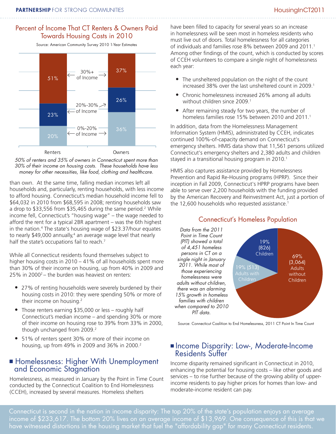#### Percent of Income That CT Renters & Owners Paid Towards Housing Costs in 2010

Source: American Community Survey 2010 1-Year Estimates



*50% of renters and 35% of owners in Connecticut spent more than 30% of their income on housing costs. These households have less money for other necessities, like food, clothing and healthcare.* 

than own. At the same time, falling median incomes left all households and, particularly, renting households, with less income to afford housing. Connecticut's median household income fell to \$64,032 in 2010 from \$68,595 in 2008; renting households saw a drop to \$33,556 from \$35,465 during the same period.<sup>2</sup> While income fell, Connecticut's "housing wage" – the wage needed to afford the rent for a typical 2BR apartment – was the 6th highest in the nation.4 The state's housing wage of \$23.37/hour equates to nearly \$49,000 annually,<sup>4</sup> an average wage level that nearly half the state's occupations fail to reach.<sup>7</sup>

While all Connecticut residents found themselves subject to higher housing costs in 2010 – 41% of all households spent more than 30% of their income on housing, up from 40% in 2009 and 25% in 20002 – the burden was heaviest on renters:

- 27% of renting households were severely burdened by their housing costs in 2010: they were spending 50% or more of their income on housing.2
- Those renters earning \$35,000 or less roughly half Connecticut's median income – and spending 30% or more of their income on housing rose to 39% from 33% in 2000, though unchanged from 2009.<sup>2</sup>
- 51% of renters spent 30% or more of their income on housing, up from 49% in 2009 and 36% in 2000.2

#### **Homelessness: Higher With Unemployment** and Economic Stagnation

Homelessness, as measured in January by the Point in Time Count conducted by the Connecticut Coalition to End Homelessness (CCEH), increased by several measures. Homeless shelters

have been filled to capacity for several years so an increase in homelessness will be seen most in homeless residents who must live out of doors. Total homelessness for all categories of individuals and families rose 8% between 2009 and 2011.1 Among other findings of the count, which is conducted by scores of CCEH volunteers to compare a single night of homelessness each year:

- The unsheltered population on the night of the count increased 38% over the last unsheltered count in 2009.<sup>1</sup>
- Chronic homelessness increased 26% among all adults without children since 2009.<sup>1</sup>
- After remaining steady for two years, the number of homeless families rose 15% between 2010 and 2011.<sup>1</sup>

In addition, data from the Homelessness Management Information System (HMIS), administrated by CCEH, indicates continued 100%-of-capacity demand on Connecticut's emergency shelters. HMIS data show that 11,561 persons utilized Connecticut's emergency shelters and 2,380 adults and children stayed in a transitional housing program in 2010.<sup>1</sup>

HMIS also captures assistance provided by Homelessness Prevention and Rapid Re-Housing programs (HPRP). Since their inception in Fall 2009, Connecticut's HPRP programs have been able to serve over 2,200 households with the funding provided by the American Recovery and Reinvestment Act, just a portion of the 12,600 households who requested assistance.<sup>1</sup>



Connecticut's Homeless Population

Source: Connecticut Coalition to End Homelessness, 2011 CT Point In Time Count

#### **Income Disparity: Low-, Moderate-Income** Residents Suffer

Income disparity remained significant in Connecticut in 2010, enhancing the potential for housing costs – like other goods and services – to rise further because of the growing ability of upperincome residents to pay higher prices for homes than low- and moderate-income resident can pay.

Connecticut is second in the nation in income disparity: The top 20% of the state's population enjoys an average income of \$233,617. The bottom 20% lives on an average income of \$13,969. One consequence of this is that we have witnessed distortions in the housing market that fuel the "affordability gap" for many Connecticut residents.